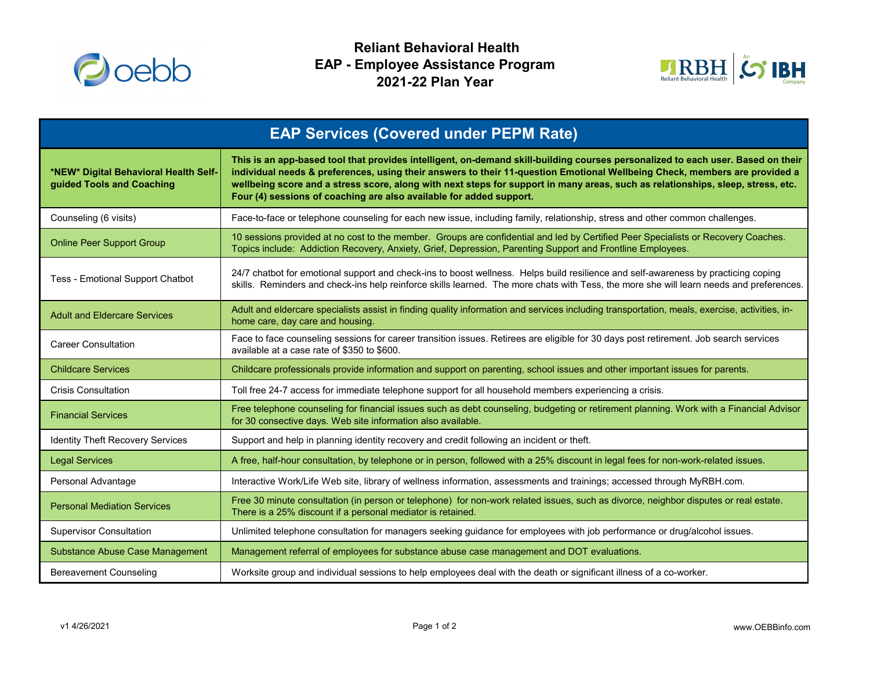

 **Reliant Behavioral Health EAP - Employee Assistance Program 2021-22 Plan Year**



| <b>EAP Services (Covered under PEPM Rate)</b>                      |                                                                                                                                                                                                                                                                                                                                                                                                                                                                         |
|--------------------------------------------------------------------|-------------------------------------------------------------------------------------------------------------------------------------------------------------------------------------------------------------------------------------------------------------------------------------------------------------------------------------------------------------------------------------------------------------------------------------------------------------------------|
| *NEW* Digital Behavioral Health Self-<br>guided Tools and Coaching | This is an app-based tool that provides intelligent, on-demand skill-building courses personalized to each user. Based on their<br>individual needs & preferences, using their answers to their 11-question Emotional Wellbeing Check, members are provided a<br>wellbeing score and a stress score, along with next steps for support in many areas, such as relationships, sleep, stress, etc.<br>Four (4) sessions of coaching are also available for added support. |
| Counseling (6 visits)                                              | Face-to-face or telephone counseling for each new issue, including family, relationship, stress and other common challenges.                                                                                                                                                                                                                                                                                                                                            |
| <b>Online Peer Support Group</b>                                   | 10 sessions provided at no cost to the member. Groups are confidential and led by Certified Peer Specialists or Recovery Coaches.<br>Topics include: Addiction Recovery, Anxiety, Grief, Depression, Parenting Support and Frontline Employees.                                                                                                                                                                                                                         |
| Tess - Emotional Support Chatbot                                   | 24/7 chatbot for emotional support and check-ins to boost wellness. Helps build resilience and self-awareness by practicing coping<br>skills. Reminders and check-ins help reinforce skills learned. The more chats with Tess, the more she will learn needs and preferences.                                                                                                                                                                                           |
| <b>Adult and Eldercare Services</b>                                | Adult and eldercare specialists assist in finding quality information and services including transportation, meals, exercise, activities, in-<br>home care, day care and housing.                                                                                                                                                                                                                                                                                       |
| <b>Career Consultation</b>                                         | Face to face counseling sessions for career transition issues. Retirees are eligible for 30 days post retirement. Job search services<br>available at a case rate of \$350 to \$600.                                                                                                                                                                                                                                                                                    |
| <b>Childcare Services</b>                                          | Childcare professionals provide information and support on parenting, school issues and other important issues for parents.                                                                                                                                                                                                                                                                                                                                             |
| <b>Crisis Consultation</b>                                         | Toll free 24-7 access for immediate telephone support for all household members experiencing a crisis.                                                                                                                                                                                                                                                                                                                                                                  |
| <b>Financial Services</b>                                          | Free telephone counseling for financial issues such as debt counseling, budgeting or retirement planning. Work with a Financial Advisor<br>for 30 consective days. Web site information also available.                                                                                                                                                                                                                                                                 |
| <b>Identity Theft Recovery Services</b>                            | Support and help in planning identity recovery and credit following an incident or theft.                                                                                                                                                                                                                                                                                                                                                                               |
| <b>Legal Services</b>                                              | A free, half-hour consultation, by telephone or in person, followed with a 25% discount in legal fees for non-work-related issues.                                                                                                                                                                                                                                                                                                                                      |
| Personal Advantage                                                 | Interactive Work/Life Web site, library of wellness information, assessments and trainings; accessed through MyRBH.com.                                                                                                                                                                                                                                                                                                                                                 |
| <b>Personal Mediation Services</b>                                 | Free 30 minute consultation (in person or telephone) for non-work related issues, such as divorce, neighbor disputes or real estate.<br>There is a 25% discount if a personal mediator is retained.                                                                                                                                                                                                                                                                     |
| <b>Supervisor Consultation</b>                                     | Unlimited telephone consultation for managers seeking guidance for employees with job performance or drug/alcohol issues.                                                                                                                                                                                                                                                                                                                                               |
| <b>Substance Abuse Case Management</b>                             | Management referral of employees for substance abuse case management and DOT evaluations.                                                                                                                                                                                                                                                                                                                                                                               |
| <b>Bereavement Counseling</b>                                      | Worksite group and individual sessions to help employees deal with the death or significant illness of a co-worker.                                                                                                                                                                                                                                                                                                                                                     |